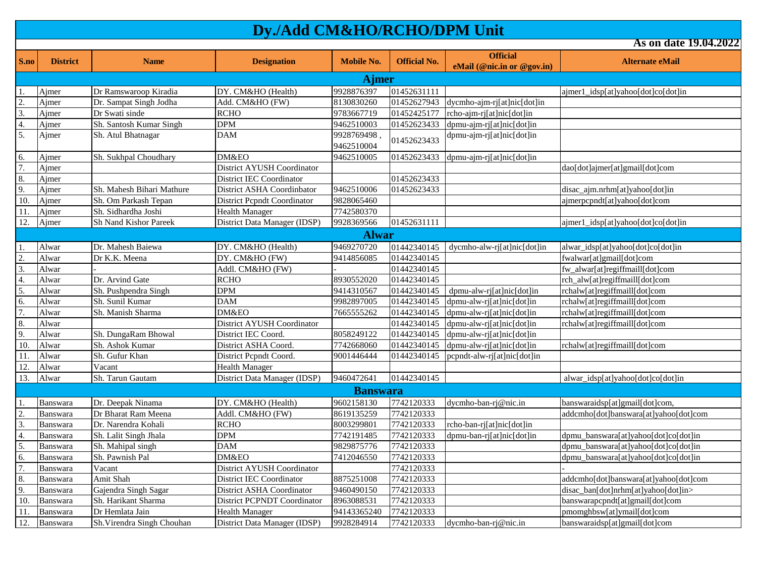| S.no             | <b>District</b> | <b>Name</b>                | <b>Designation</b>                 | <b>Mobile No.</b>        | <b>Official No.</b> | <b>Official</b>             | <b>Alternate eMail</b>                |
|------------------|-----------------|----------------------------|------------------------------------|--------------------------|---------------------|-----------------------------|---------------------------------------|
|                  |                 |                            |                                    |                          |                     | eMail (@nic.in or @gov.in)  |                                       |
|                  |                 |                            |                                    | <b>Ajmer</b>             |                     |                             |                                       |
| $\overline{1}$ . | Ajmer           | Dr Ramswaroop Kiradia      | DY. CM&HO (Health)                 | 9928876397               | 01452631111         |                             | ajmer1_idsp[at]yahoo[dot]co[dot]in    |
| $\overline{2}$   | Ajmer           | Dr. Sampat Singh Jodha     | Add. CM&HO (FW)                    | 8130830260               | 01452627943         | dycmho-ajm-rj[at]nic[dot]in |                                       |
| $\frac{3}{4}$    | Ajmer           | Dr Swati sinde             | <b>RCHO</b>                        | 9783667719               | 01452425177         | rcho-ajm-rj[at]nic[dot]in   |                                       |
|                  | Ajmer           | Sh. Santosh Kumar Singh    | <b>DPM</b>                         | 9462510003               | 01452623433         | dpmu-ajm-rj[at]nic[dot]in   |                                       |
| 5.               | Ajmer           | Sh. Atul Bhatnagar         | DAM                                | 9928769498,              | 01452623433         | dpmu-ajm-rj[at]nic[dot]in   |                                       |
| 6.               | Ajmer           | Sh. Sukhpal Choudhary      | DM&EO                              | 9462510004<br>9462510005 | 01452623433         | dpmu-ajm-rj[at]nic[dot]in   |                                       |
| $\overline{7}$ . | Ajmer           |                            | <b>District AYUSH Coordinator</b>  |                          |                     |                             | dao[dot]ajmer[at]gmail[dot]com        |
| 8.               | Ajmer           |                            | District IEC Coordinator           |                          | 01452623433         |                             |                                       |
| 9.               | Ajmer           | Sh. Mahesh Bihari Mathure  | District ASHA Coordinbator         | 9462510006               | 01452623433         |                             | disac_ajm.nrhm[at]yahoo[dot]in        |
| 10.              | Ajmer           | Sh. Om Parkash Tepan       | <b>District Pepndt Coordinator</b> | 9828065460               |                     |                             | ajmerpcpndt[at]yahoo[dot]com          |
| 11.              | Ajmer           | Sh. Sidhardha Joshi        | Health Manager                     | 7742580370               |                     |                             |                                       |
| 12.              | Ajmer           | Sh Nand Kishor Pareek      | District Data Manager (IDSP)       | 9928369566               | 01452631111         |                             | ajmer1_idsp[at]yahoo[dot]co[dot]in    |
|                  |                 |                            |                                    | <b>Alwar</b>             |                     |                             |                                       |
| $\mathbf{1}$ .   | Alwar           | Dr. Mahesh Baiewa          | DY. CM&HO (Health)                 | 9469270720               | 01442340145         | dycmho-alw-ri[at]nic[dot]in | alwar_idsp[at]yahoo[dot]co[dot]in     |
|                  | Alwar           | Dr K.K. Meena              | DY. CM&HO (FW)                     | 9414856085               | 01442340145         |                             | fwalwar[at]gmail[dot]com              |
| $\frac{2}{3}$    | Alwar           |                            | Addl. CM&HO (FW)                   |                          | 01442340145         |                             | fw_alwar[at]regiffmaill[dot]com       |
| 4.               | Alwar           | Dr. Arvind Gate            | <b>RCHO</b>                        | 8930552020               | 01442340145         |                             | rch_alw[at]regiffmaill[dot]com        |
| 5.               | Alwar           | Sh. Pushpendra Singh       | DPM                                | 9414310567               | 01442340145         | dpmu-alw-rj[at]nic[dot]in   | rchalw[at]regiffmaill[dot]com         |
| 6.               | Alwar           | Sh. Sunil Kumar            | DAM                                | 9982897005               | 01442340145         | dpmu-alw-rj[at]nic[dot]in   | rchalw[at]regiffmaill[dot]com         |
| $\overline{7}$ . | Alwar           | Sh. Manish Sharma          | DM&EO                              | 7665555262               | 01442340145         | dpmu-alw-rj[at]nic[dot]in   | rchalw[at]regiffmaill[dot]com         |
| 8.               | Alwar           |                            | <b>District AYUSH Coordinator</b>  |                          | 01442340145         | dpmu-alw-rj[at]nic[dot]in   | rchalw[at]regiffmaill[dot]com         |
| 9.               | Alwar           | Sh. DungaRam Bhowal        | District IEC Coord.                | 8058249122               | 01442340145         | dpmu-alw-rj[at]nic[dot]in   |                                       |
| 10.              | Alwar           | Sh. Ashok Kumar            | District ASHA Coord.               | 7742668060               | 01442340145         | dpmu-alw-rj[at]nic[dot]in   | rchalw[at]regiffmaill[dot]com         |
| 11.              | Alwar           | Sh. Gufur Khan             | District Pepndt Coord.             | 9001446444               | 01442340145         | pcpndt-alw-rilet niclot lin |                                       |
| 12.              | Alwar           | Vacant                     | <b>Health Manager</b>              |                          |                     |                             |                                       |
| 13.              | Alwar           | Sh. Tarun Gautam           | District Data Manager (IDSP)       | 9460472641               | 01442340145         |                             | alwar_idsp[at]yahoo[dot]co[dot]in     |
|                  |                 |                            |                                    | <b>Banswara</b>          |                     |                             |                                       |
|                  | Banswara        | Dr. Deepak Ninama          | DY. CM&HO (Health)                 | 9602158130               | 7742120333          | dycmho-ban-rj@nic.in        | banswaraidsp[at]gmail[dot]com,        |
|                  | Banswara        | Dr Bharat Ram Meena        | Addl. CM&HO (FW)                   | 8619135259               | 7742120333          |                             | addcmho[dot]banswara[at]yahoo[dot]com |
| $\frac{2}{3}$    | Banswara        | Dr. Narendra Kohali        | <b>RCHO</b>                        | 8003299801               | 7742120333          | rcho-ban-rj[at]nic[dot]in   |                                       |
|                  | Banswara        | Sh. Lalit Singh Jhala      | <b>DPM</b>                         | 7742191485               | 7742120333          | dpmu-ban-ri[at]nic[dot]in   | dpmu_banswara[at]yahoo[dot]co[dot]in  |
| $\frac{4}{5}$    | Banswara        | Sh. Mahipal singh          | DAM                                | 9829875776               | 7742120333          |                             | dpmu_banswara[at]yahoo[dot]co[dot]in  |
|                  | Banswara        | Sh. Pawnish Pal            | DM&EO                              | 7412046550               | 7742120333          |                             | dpmu_banswara[at]yahoo[dot]co[dot]in  |
| $rac{6}{7}$      | Banswara        | Vacant                     | District AYUSH Coordinator         |                          | 7742120333          |                             |                                       |
| 8.               | Banswara        | Amit Shah                  | <b>District IEC Coordinator</b>    | 8875251008               | 7742120333          |                             | addcmho[dot]banswara[at]yahoo[dot]com |
| 9.               | Banswara        | Gajendra Singh Sagar       | District ASHA Coordinator          | 9460490150               | 7742120333          |                             | disac_ban[dot]nrhm[at]yahoo[dot]in>   |
| 10.              | Banswara        | Sh. Harikant Sharma        | District PCPNDT Coordinator        | 8963088531               | 7742120333          |                             | banswarapcpndt[at]gmail[dot]com       |
| 11.              | Banswara        | Dr Hemlata Jain            | Health Manager                     | 94143365240              | 7742120333          |                             | pmomghbsw[at]ymail[dot]com            |
| 12.              | Banswara        | Sh. Virendra Singh Chouhan | District Data Manager (IDSP)       | 9928284914               | 7742120333          | dycmho-ban-rj@nic.in        | banswaraidsp[at]gmail[dot]com         |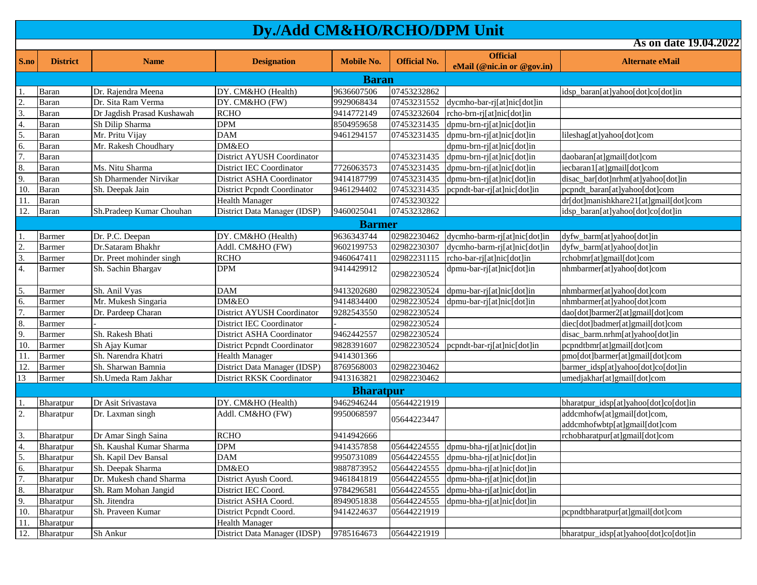| S.no                      | <b>District</b> | <b>Name</b>                | <b>Designation</b>                 | <b>Mobile No.</b> | <b>Official No.</b> | <b>Official</b>              | <b>Alternate eMail</b>                |  |  |  |
|---------------------------|-----------------|----------------------------|------------------------------------|-------------------|---------------------|------------------------------|---------------------------------------|--|--|--|
|                           |                 |                            |                                    |                   |                     | eMail (@nic.in or @gov.in)   |                                       |  |  |  |
|                           | <b>Baran</b>    |                            |                                    |                   |                     |                              |                                       |  |  |  |
| -1.                       | Baran           | Dr. Rajendra Meena         | DY. CM&HO (Health)                 | 9636607506        | 07453232862         |                              | idsp_baran[at]yahoo[dot]co[dot]in     |  |  |  |
| $\overline{2}$ .          | Baran           | Dr. Sita Ram Verma         | DY. CM&HO (FW)                     | 9929068434        | 07453231552         | dycmho-bar-rj[at]nic[dot]in  |                                       |  |  |  |
| $\overline{3}$ .          | Baran           | Dr Jagdish Prasad Kushawah | <b>RCHO</b>                        | 9414772149        | 07453232604         | rcho-brn-rj[at]nic[dot]in    |                                       |  |  |  |
|                           | Baran           | Sh Dilip Sharma            | <b>DPM</b>                         | 8504959658        | 07453231435         | dpmu-brn-rj[at]nic[dot]in    |                                       |  |  |  |
| $\frac{4}{5}$             | Baran           | Mr. Pritu Vijay            | <b>DAM</b>                         | 9461294157        | 07453231435         | dpmu-brn-rj[at]nic[dot]in    | lileshag[at]yahoo[dot]com             |  |  |  |
| 6.                        | Baran           | Mr. Rakesh Choudhary       | DM&EO                              |                   |                     | dpmu-brn-rj[at]nic[dot]in    |                                       |  |  |  |
| 7.                        | Baran           |                            | District AYUSH Coordinator         |                   | 07453231435         | dpmu-brn-rj[at]nic[dot]in    | daobaran[at]gmail[dot]com             |  |  |  |
| 8.                        | Baran           | Ms. Nitu Sharma            | District IEC Coordinator           | 7726063573        | 07453231435         | dpmu-brn-rj[at]nic[dot]in    | iecbaran1[at]gmail[dot]com            |  |  |  |
| 9.                        | Baran           | Sh Dharmender Nirvikar     | District ASHA Coordinator          | 9414187799        | 07453231435         | dpmu-brn-rj[at]nic[dot]in    | disac_bar[dot]nrhm[at]yahoo[dot]in    |  |  |  |
| 10.                       | Baran           | Sh. Deepak Jain            | <b>District Pepndt Coordinator</b> | 9461294402        | 07453231435         | pcpndt-bar-rj[at]nic[dot]in  | pcpndt_baran[at]yahoo[dot]com         |  |  |  |
| 11.                       | Baran           |                            | <b>Health Manager</b>              |                   | 07453230322         |                              | dr[dot]manishkhare21[at]gmail[dot]com |  |  |  |
| 12.                       | Baran           | Sh.Pradeep Kumar Chouhan   | District Data Manager (IDSP)       | 9460025041        | 07453232862         |                              | idsp_baran[at]yahoo[dot]co[dot]in     |  |  |  |
|                           |                 |                            |                                    | <b>Barmer</b>     |                     |                              |                                       |  |  |  |
| $\mathbf{1}$              | <b>Barmer</b>   | Dr. P.C. Deepan            | DY. CM&HO (Health)                 | 9636343744        | 02982230462         | dycmho-barm-rj[at]nic[dot]in | dyfw_barm[at]yahoo[dot]in             |  |  |  |
| $\overline{2}$ .          | Barmer          | Dr.Sataram Bhakhr          | Addl. CM&HO (FW)                   | 9602199753        | 02982230307         | dycmho-barm-rj[at]nic[dot]in | dyfw_barm[at]yahoo[dot]in             |  |  |  |
| $\overline{3}$ .          | Barmer          | Dr. Preet mohinder singh   | <b>RCHO</b>                        | 9460647411        | 02982231115         | rcho-bar-rj[at]nic[dot]in    | rchobmr[at]gmail[dot]com              |  |  |  |
| 4.                        | <b>Barmer</b>   | Sh. Sachin Bhargav         | <b>DPM</b>                         | 9414429912        | 02982230524         | dpmu-bar-rj[at]nic[dot]in    | nhmbarmer[at]yahoo[dot]com            |  |  |  |
| $\overline{\mathbf{5}}$ . | <b>Barmer</b>   | Sh. Anil Vyas              | <b>DAM</b>                         | 9413202680        | 02982230524         | dpmu-bar-rj[at]nic[dot]in    | nhmbarmer[at]yahoo[dot]com            |  |  |  |
| 6.                        | <b>Barmer</b>   | Mr. Mukesh Singaria        | DM&EO                              | 9414834400        | 02982230524         | dpmu-bar-rj[at]nic[dot]in    | nhmbarmer[at]yahoo[dot]com            |  |  |  |
| $\overline{7}$ .          | Barmer          | Dr. Pardeep Charan         | <b>District AYUSH Coordinator</b>  | 9282543550        | 02982230524         |                              | dao[dot]barmer2[at]gmail[dot]com      |  |  |  |
| 8.                        | Barmer          |                            | District IEC Coordinator           |                   | 02982230524         |                              | diec[dot]badmer[at]gmail[dot]com      |  |  |  |
| 9.                        | <b>Barmer</b>   | Sh. Rakesh Bhati           | District ASHA Coordinator          | 9462442557        | 02982230524         |                              | disac_barm.nrhm[at]yahoo[dot]in       |  |  |  |
| 10.                       | Barmer          | Sh Ajay Kumar              | <b>District Pepndt Coordinator</b> | 9828391607        | 02982230524         | pcpndt-bar-rj[at]nic[dot]in  | pcpndtbmr[at]gmail[dot]com            |  |  |  |
| 11.                       | Barmer          | Sh. Narendra Khatri        | <b>Health Manager</b>              | 9414301366        |                     |                              | pmo[dot]barmer[at]gmail[dot]com       |  |  |  |
| 12.                       | <b>Barmer</b>   | Sh. Sharwan Bamnia         | District Data Manager (IDSP)       | 8769568003        | 02982230462         |                              | barmer_idsp[at]yahoo[dot]co[dot]in    |  |  |  |
| 13                        | Barmer          | Sh.Umeda Ram Jakhar        | District RKSK Coordinator          | 9413163821        | 02982230462         |                              | umedjakhar[at]gmail[dot]com           |  |  |  |
|                           |                 |                            |                                    | <b>Bharatpur</b>  |                     |                              |                                       |  |  |  |
| $\mathbf{1}$              | Bharatpur       | Dr Asit Srivastava         | DY. CM&HO (Health)                 | 9462946244        | 05644221919         |                              | bharatpur_idsp[at]yahoo[dot]co[dot]in |  |  |  |
| $\overline{2}$ .          | Bharatpur       | Dr. Laxman singh           | Addl. CM&HO (FW)                   | 9950068597        |                     |                              | addcmhofw[at]gmail[dot]com,           |  |  |  |
|                           |                 |                            |                                    |                   | 05644223447         |                              | addcmhofwbtp[at]gmail[dot]com         |  |  |  |
| $\overline{3}$ .          | Bharatpur       | Dr Amar Singh Saina        | <b>RCHO</b>                        | 9414942666        |                     |                              | rchobharatpur[at]gmail[dot]com        |  |  |  |
| $\overline{4}$ .          | Bharatpur       | Sh. Kaushal Kumar Sharma   | <b>DPM</b>                         | 9414357858        | 05644224555         | dpmu-bha-rj[at]nic[dot]in    |                                       |  |  |  |
| 5.                        | Bharatpur       | Sh. Kapil Dev Bansal       | <b>DAM</b>                         | 9950731089        | 05644224555         | dpmu-bha-rj[at]nic[dot]in    |                                       |  |  |  |
| 6.                        | Bharatpur       | Sh. Deepak Sharma          | DM&EO                              | 9887873952        | 05644224555         | dpmu-bha-rj[at]nic[dot]in    |                                       |  |  |  |
| 7.                        | Bharatpur       | Dr. Mukesh chand Sharma    | District Ayush Coord.              | 9461841819        | 05644224555         | dpmu-bha-rj[at]nic[dot]in    |                                       |  |  |  |
| 8.                        | Bharatpur       | Sh. Ram Mohan Jangid       | District IEC Coord.                | 9784296581        | 05644224555         | dpmu-bha-rj[at]nic[dot]in    |                                       |  |  |  |
| 9.                        | Bharatpur       | Sh. Jitendra               | District ASHA Coord.               | 8949051838        | 05644224555         | dpmu-bha-rj[at]nic[dot]in    |                                       |  |  |  |
| 10.                       | Bharatpur       | Sh. Praveen Kumar          | District Pepndt Coord.             | 9414224637        | 05644221919         |                              | pcpndtbharatpur[at]gmail[dot]com      |  |  |  |
| 11.                       | Bharatpur       |                            | <b>Health Manager</b>              |                   |                     |                              |                                       |  |  |  |
| 12.                       | Bharatpur       | Sh Ankur                   | District Data Manager (IDSP)       | 9785164673        | 05644221919         |                              | bharatpur_idsp[at]yahoo[dot]co[dot]in |  |  |  |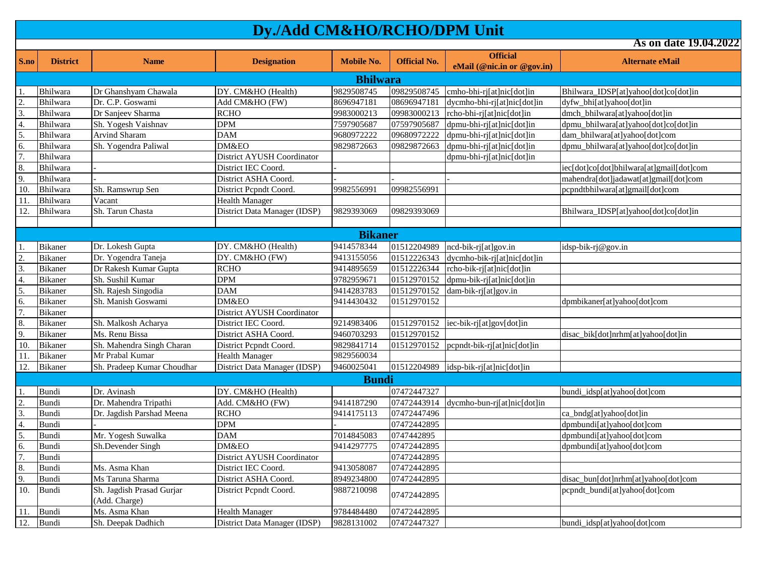| S.no             | <b>District</b> | <b>Name</b>                | <b>Designation</b>                | <b>Mobile No.</b> | <b>Official No.</b> | <b>Official</b>             | <b>Alternate eMail</b>                   |  |  |  |
|------------------|-----------------|----------------------------|-----------------------------------|-------------------|---------------------|-----------------------------|------------------------------------------|--|--|--|
|                  |                 |                            |                                   |                   |                     | eMail (@nic.in or @gov.in)  |                                          |  |  |  |
| <b>Bhilwara</b>  |                 |                            |                                   |                   |                     |                             |                                          |  |  |  |
| $\mathbf{1}$     | Bhilwara        | Dr Ghanshyam Chawala       | DY. CM&HO (Health)                | 9829508745        | 09829508745         | cmho-bhi-rj[at]nic[dot]in   | Bhilwara_IDSP[at]yahoo[dot]co[dot]in     |  |  |  |
|                  | Bhilwara        | Dr. C.P. Goswami           | Add CM&HO (FW)                    | 8696947181        | 08696947181         | dycmho-bhi-rj[at]nic[dot]in | dyfw_bhi[at]yahoo[dot]in                 |  |  |  |
| $\frac{2}{3}$    | Bhilwara        | Dr Sanjeev Sharma          | <b>RCHO</b>                       | 9983000213        | 09983000213         | rcho-bhi-rj[at]nic[dot]in   | dmch_bhilwara[at]yahoo[dot]in            |  |  |  |
| 4.               | Bhilwara        | Sh. Yogesh Vaishnav        | DPM                               | 7597905687        | 07597905687         | dpmu-bhi-rj[at]nic[dot]in   | dpmu_bhilwara[at]yahoo[dot]co[dot]in     |  |  |  |
| 5.               | Bhilwara        | Arvind Sharam              | DAM                               | 9680972222        | 09680972222         | dpmu-bhi-rj[at]nic[dot]in   | dam_bhilwara[at]yahoo[dot]com            |  |  |  |
| 6.               | Bhilwara        | Sh. Yogendra Paliwal       | DM&EO                             | 9829872663        | 09829872663         | dpmu-bhi-rj[at]nic[dot]in   | dpmu_bhilwara[at]yahoo[dot]co[dot]in     |  |  |  |
| $\overline{7}$ . | Bhilwara        |                            | <b>District AYUSH Coordinator</b> |                   |                     | dpmu-bhi-rj[at]nic[dot]in   |                                          |  |  |  |
| 8.               | Bhilwara        |                            | District IEC Coord.               |                   |                     |                             | iec[dot]co[dot]bhilwara[at]gmail[dot]com |  |  |  |
| 9.               | Bhilwara        |                            | District ASHA Coord.              |                   |                     |                             | mahendra[dot]jadawat[at]gmail[dot]com    |  |  |  |
| 10.              | Bhilwara        | Sh. Ramswrup Sen           | District Pepndt Coord.            | 9982556991        | 09982556991         |                             | pcpndtbhilwara[at]gmail[dot]com          |  |  |  |
| 11.              | Bhilwara        | Vacant                     | <b>Health Manager</b>             |                   |                     |                             |                                          |  |  |  |
| 12.              | Bhilwara        | Sh. Tarun Chasta           | District Data Manager (IDSP)      | 9829393069        | 09829393069         |                             | Bhilwara_IDSP[at]yahoo[dot]co[dot]in     |  |  |  |
|                  |                 |                            |                                   |                   |                     |                             |                                          |  |  |  |
|                  |                 |                            |                                   | <b>Bikaner</b>    |                     |                             |                                          |  |  |  |
| $\mathbf{1}$     | Bikaner         | Dr. Lokesh Gupta           | DY. CM&HO (Health)                | 9414578344        | 01512204989         | ncd-bik-rj[at]gov.in        | idsp-bik-rj@gov.in                       |  |  |  |
| $\overline{2}$ . | <b>Bikaner</b>  | Dr. Yogendra Taneja        | DY. CM&HO (FW)                    | 9413155056        | 01512226343         | dycmho-bik-rj[at]nic[dot]in |                                          |  |  |  |
| 3.               | Bikaner         | Dr Rakesh Kumar Gupta      | <b>RCHO</b>                       | 9414895659        | 01512226344         | rcho-bik-rj[at]nic[dot]in   |                                          |  |  |  |
| $\frac{4}{5}$    | Bikaner         | Sh. Sushil Kumar           | <b>DPM</b>                        | 9782959671        | 01512970152         | dpmu-bik-rj[at]nic[dot]in   |                                          |  |  |  |
|                  | <b>Bikaner</b>  | Sh. Rajesh Singodia        | <b>DAM</b>                        | 9414283783        | 01512970152         | dam-bik-rj[at]gov.in        |                                          |  |  |  |
| 6.               | <b>Bikaner</b>  | Sh. Manish Goswami         | DM&EO                             | 9414430432        | 01512970152         |                             | dpmbikaner[at]yahoo[dot]com              |  |  |  |
| 7.               | Bikaner         |                            | <b>District AYUSH Coordinator</b> |                   |                     |                             |                                          |  |  |  |
| 8.               | <b>Bikaner</b>  | Sh. Malkosh Acharya        | District IEC Coord.               | 9214983406        | 01512970152         | iec-bik-rj[at]gov[dot]in    |                                          |  |  |  |
| 9.               | <b>Bikaner</b>  | Ms. Renu Bissa             | District ASHA Coord.              | 9460703293        | 01512970152         |                             | disac_bik[dot]nrhm[at]yahoo[dot]in       |  |  |  |
| 10.              | <b>Bikaner</b>  | Sh. Mahendra Singh Charan  | District Pepndt Coord.            | 9829841714        | 01512970152         | pcpndt-bik-rj[at]nic[dot]in |                                          |  |  |  |
| 11.              | Bikaner         | Mr Prabal Kumar            | <b>Health Manager</b>             | 9829560034        |                     |                             |                                          |  |  |  |
| 12.              | <b>Bikaner</b>  | Sh. Pradeep Kumar Choudhar | District Data Manager (IDSP)      | 9460025041        | 01512204989         | idsp-bik-rj[at]nic[dot]in   |                                          |  |  |  |
|                  |                 |                            |                                   | <b>Bundi</b>      |                     |                             |                                          |  |  |  |
| $\mathbf{1}$     | Bundi           | Dr. Avinash                | DY. CM&HO (Health)                |                   | 07472447327         |                             | bundi_idsp[at]yahoo[dot]com              |  |  |  |
| $\overline{2}$   | Bundi           | Dr. Mahendra Tripathi      | Add. CM&HO (FW)                   | 9414187290        | 07472443914         | dycmho-bun-rj[at]nic[dot]in |                                          |  |  |  |
| $\frac{3}{4}$    | Bundi           | Dr. Jagdish Parshad Meena  | <b>RCHO</b>                       | 9414175113        | 07472447496         |                             | ca_bndg[at]yahoo[dot]in                  |  |  |  |
|                  | Bundi           |                            | DPM                               |                   | 07472442895         |                             | dpmbundi[at]yahoo[dot]com                |  |  |  |
| 5.               | Bundi           | Mr. Yogesh Suwalka         | $\overline{D}AM$                  | 7014845083        | 0747442895          |                             | dpmbundi[at]yahoo[dot]com                |  |  |  |
| $rac{6}{7}$      | Bundi           | Sh.Devender Singh          | DM&EO                             | 9414297775        | 07472442895         |                             | dpmbundi[at]yahoo[dot]com                |  |  |  |
|                  | Bundi           |                            | <b>District AYUSH Coordinator</b> |                   | 07472442895         |                             |                                          |  |  |  |
| 8.               | Bundi           | Ms. Asma Khan              | District IEC Coord.               | 9413058087        | 07472442895         |                             |                                          |  |  |  |
| 9.               | Bundi           | Ms Taruna Sharma           | District ASHA Coord.              | 8949234800        | 07472442895         |                             | disac_bun[dot]nrhm[at]yahoo[dot]com      |  |  |  |
| 10.              | Bundi           | Sh. Jagdish Prasad Gurjar  | District Pepndt Coord.            | 9887210098        |                     |                             | pcpndt_bundi[at]yahoo[dot]com            |  |  |  |
|                  |                 | (Add. Charge)              |                                   |                   | 07472442895         |                             |                                          |  |  |  |
| 11.              | Bundi           | Ms. Asma Khan              | <b>Health Manager</b>             | 9784484480        | 07472442895         |                             |                                          |  |  |  |
| 12.              | Bundi           | Sh. Deepak Dadhich         | District Data Manager (IDSP)      | 9828131002        | 07472447327         |                             | bundi idsplat]yahooldot]com              |  |  |  |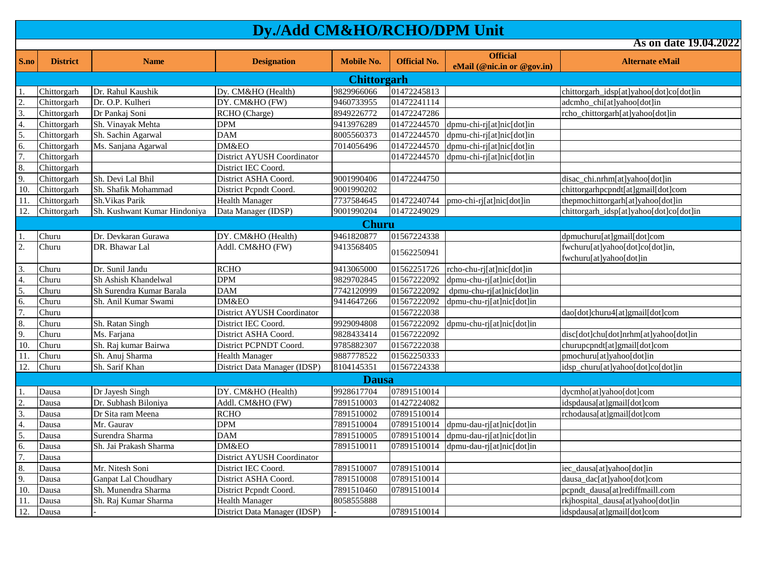**S.no District Name Designation Mobile No. Official No. Official eMail (@nic.in or @gov.in) Alternate eMail As on date 19.04.2022** 1. Chittorgarh Dr. Rahul Kaushik Dy. CM&HO (Health) 9829966066 01472245813 chittorgarh\_idsp[at]yahoo[dot]co[dot]in 2. Chittorgarh Dr. O.P. Kulheri DY. CM&HO (FW) 9460733955 01472241114 adcmho\_chi[at]yahoo[dot]in 3. Chittorgarh Dr Pankaj Soni RCHO (Charge) 8949226772 01472247286 rcho\_chittorgarh[at]yahoo[dot]in 4. Chittorgarh Sh. Vinayak Mehta DPM 9413976289 01472244570 dpmu-chi-rj[at]nic[dot]in 5. Chittorgarh Sh. Sachin Agarwal DAM 8005560373 01472244570 dpmu-chi-rj[at]nic[dot]in 6. Chittorgarh Ms. Sanjana Agarwal DM&EO 7014056496 01472244570 dpmu-chi-rj[at]nic[dot]in 7. Chittorgarh Chittorgarh District AYUSH Coordinator 01472244570 dpmu-chi-rj[at]nic[dot]in 8. Chittorgarh District IEC Coord. 9. Chittorgarh Sh. Devi Lal Bhil District ASHA Coord. 9001990406 01472244750 disac\_chi.nrhm[at]yahoo[dot]in 10. Chittorgarh Sh. Shafik Mohammad District Pcpndt Coord. 9001990202 chittorgarhpcpndt[at]gmail[dot]com 11. Chittorgarh Sh.Vikas Parik Health Manager 7737584645 01472240744 pmo-chi-rj[at]nic[dot]in thepmochittorgarh[at]yahoo[dot]in 12. Chittorgarh Sh. Kushwant Kumar Hindoniya Data Manager (IDSP) 9001990204 01472249029 chittorgarh\_idsp[at]yahoo[dot]co[dot]in 1. Churu Dr. Devkaran Gurawa DY. CM&HO (Health) 9461820877 01567224338 dpmuchuru[at]gmail[dot]com 2. Churu DR. Bhawar Lal Addl. CM&HO (FW) 9413568405 01562250941 fwchuru[at]yahoo[dot]co[dot]in, fwchuru[at]yahoo[dot]in 3. Churu Dr. Sunil Jandu RCHO 9413065000 01562251726 rcho-chu-rj[at]nic[dot]in 4. Churu Sh Ashish Khandelwal DPM 9829702845 01567222092 dpmu-chu-rj[at]nic[dot]in 5. Churu Sh Surendra Kumar Barala DAM 7742120999 01567222092 dpmu-chu-rj[at]nic[dot]in 6. Churu Sh. Anil Kumar Swami DM&EO 9414647266 01567222092 dpmu-chu-rj[at]nic[dot]in 7. Churu | District AYUSH Coordinator | 01567222038 dao[dot]churu4[at]gmail[dot]com 8. Churu Sh. Ratan Singh District IEC Coord. 9929094808 01567222092 dpmu-chu-rj[at]nic[dot]in 9. Churu Ms. Farjana District ASHA Coord. 9828433414 01567222092 disc<sup>r</sup>dot]chu[dot]nrhm[at]yahoo[dot]in 10. Churu Sh. Raj kumar Bairwa District PCPNDT Coord. 9785882307 01567222038 churupcpndt[at]gmail[dot]com 11. Churu Sh. Anuj Sharma Health Manager 9887778522 01562250333 12. Churu Sh. Sarif Khan District Data Manager (IDSP) 8104145351 01567224338 idsp\_churu[at]yahoo[dot]co[dot]in 1. Dausa Dr Jayesh Singh DY. CM&HO (Health) 9928617704 07891510014 dycmho[at]yahoo[dot]com 2. Dausa Dr. Subhash Biloniya Addl. CM&HO (FW) 7891510003 01427224082 idspdausa[at]gmail[dot]com 3. Dausa Dr Sita ram Meena RCHO 7891510002 07891510014 rchodausa [at]gmail[dot]com 4. Dausa Mr. Gaurav DPM 7891510004 07891510014 dpmu-dau-rj[at]nic[dot]in 5. Dausa Surendra Sharma DAM 7891510005 07891510014 dpmu-dau-rj[at]nic[dot]in 6. Dausa Sh. Jai Prakash Sharma DM&EO 7891510011 07891510014 dpmu-dau-rj[at]nic[dot]in 7. Dausa | District AYUSH Coordinator 8. Dausa Mr. Nitesh Soni District IEC Coord. 7891510007 07891510014 iec\_dausa[at]yahoo[dot]in 9. Dausa Ganpat Lal Choudhary District ASHA Coord. 7891510008 07891510014 10. Dausa Sh. Munendra Sharma District Pcpndt Coord. 7891510460 07891510014 pcpndt dausa[at]rediffmaill.com 11. Dausa Sh. Raj Kumar Sharma Health Manager 8058555888 results and results and results and results and results and results and results and results and results and results and results and results and results and results a 12. Dausa - District Data Manager (IDSP) - 07891510014 idspdausa[at]gmail[dot]com **Dausa Churu Chittorgarh**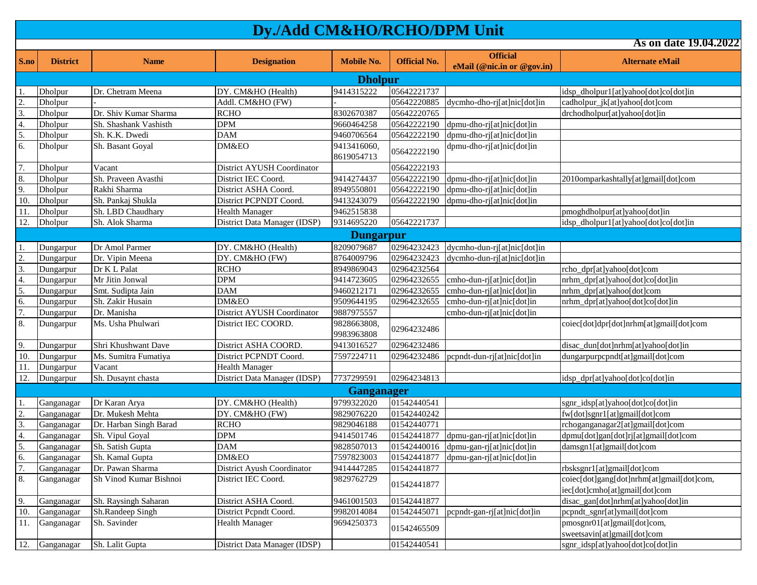**S.no District Name Designation Mobile No. Official No. Official eMail** (@nic.in or @gov.in) **Alternate eMail As on date 19.04.2022** 1. Dholpur Dr. Chetram Meena DY. CM&HO (Health) 9414315222 05642221737 idsp\_dholpur1[at]yahoo[dot]co[dot]in 2. Dholpur - Addl. CM&HO (FW) - 05642220885 dycmho-dho-rj[at]nic[dot]in cadholpur\_jk[at]yahoo[dot]com 3. Dholpur Dr. Shiv Kumar Sharma RCHO 8302670387 05642220765 drchodholpur[at]yahoo[dot]in 4. Dholpur Sh. Shashank Vashisth DPM 9660464258 05642222190 dpmu-dho-rj[at]nic[dot]in 5. Dholpur Sh. K.K. Dwedi DAM 9460706564 05642222190 dpmu-dho-rj[at]nic[dot]in 6. Dholpur Sh. Basant Goyal DM&EO 9413416060, 9413416060, 05642222190 dpmu-dho-rj[at]nic[dot]in 7. Dholpur Vacant District AYUSH Coordinator 05642222193 8. Dholpur Sh. Praveen Avasthi District IEC Coord. 9414274437 05642222190 dpmu-dho-rj[at]nic[dot]in 2010omparkashtally[at]gmail[dot]com 9. Dholpur Rakhi Sharma District ASHA Coord. 8949550801 05642222190 dpmu-dho-rj[at]nic[dot]in 10. Dholpur Sh. Pankaj Shukla District PCPNDT Coord. 9413243079 05642222190 dpmu-dho-rj[at]nic[dot]in 11. Dholpur Sh. LBD Chaudhary Health Manager 9462515838 pmoghdholpur[at]yahoo[dot]in 12. Dholpur Sh. Alok Sharma District Data Manager (IDSP) 9314695220 05642221737 idsp\_dholpur1[at]yahoo[dot]co[dot]in 1. Dungarpur Dr Amol Parmer DY. CM&HO (Health) 8209079687 02964232423 dycmho-dun-rj[at]nic[dot]in 2. Dungarpur Dr. Vipin Meena DY. CM&HO (FW) 8764009796 02964232423 dycmho-dun-rj[at]nic[dot]in 3. Dungarpur Dr K L Palat RCHO RCHO 8949869043 02964232564 rcho\_dpr[at]yahoo[dot]com 4. Dungarpur Mr Jitin Jonwal DPM 9414723605 02964232655 cmho-dun-rj[at]nic[dot]in nrhm\_dpr[at]yahoo[dot]co[dot]in 5. Dungarpur Smt. Sudipta Jain DAM 9460212171 02964232655 cmho-dun-rj[at]nic[dot]in nrhm\_dpr[at]yahoo[dot]com 6. Dungarpur Sh. Zakir Husain DM&EO 9509644195 02964232655 cmho-dun-rj[at]nic[dot]in nrhm\_dpr[at]yahoo[dot]co[dot]in 7. Dungarpur Dr. Manisha District AYUSH Coordinator 9887975557 cmho-dun-rj[at]nic[dot]in 8. Dungarpur | Ms. Usha Phulwari | District IEC COORD. | 9828663808, 9828663808, 02964232486 coiec[dot]dpr[dot]nrhm[at]gmail[dot]com<br>9983963808 02964232486 9. Dungarpur Shri Khushwant Dave District ASHA COORD. 9413016527 02964232486 disac\_dun[dot]nrhm[at]yahoo[dot]in 10. Dungarpur Ms. Sumitra Fumatiya District PCPNDT Coord. 7597224711 02964232486 pcpndt-dun-rj[at]nic[dot]in dungarpurpcpndt[at]gmail[dot]com 11. Dungarpur Vacant Vacant Health Manager 12. Dungarpur Sh. Dusaynt chasta District Data Manager (IDSP) 7737299591 02964234813 idsp\_dpr[at]yahoo[dot]co[dot]in 1. Ganganagar Dr Karan Arya DY. CM&HO (Health) 9799322020 01542440541 sgnr idsp[at]yahoo[dot]co[dot]in 2. Ganganagar Dr. Mukesh Mehta DY. CM&HO (FW) 9829076220 01542440242 fw[dot]sgnr1[at]gmail[dot]com 3. Ganganagar Dr. Harban Singh Barad RCHO 9829046188 01542440771 rchoganganagar2[at]gmail[dot]com 4. Ganganagar Sh. Vipul Goyal DPM 9414501746 01542441877 dpmu-gan-rj[at]nic[dot]in dpmu[dot]gan[dot]rj[at]gmail[dot]com 5. Ganganagar Sh. Satish Gupta DAM 9828507013 01542440016 dpmu-gan-rj[at]nic[dot]in damsgn1[at]gmail[dot]com 6. Ganganagar Sh. Kamal Gupta DM&EO 7597823003 01542441877 dpmu-gan-rj[at]nic[dot]in 7. Ganganagar Dr. Pawan Sharma District Ayush Coordinator 9414447285 01542441877 rbsksgnr1[at]gmail[dot]com 8. Ganganagar Sh Vinod Kumar Bishnoi District IEC Coord. 9829762729 01542441877 coiec[dot]gang[dot]nrhm[at]gmail[dot]com, iec[dot]cmho[at]gmail[dot]com 9. Ganganagar Sh. Raysingh Saharan District ASHA Coord. 9461001503 01542441877 disac\_gan[dot]nrhm[at]yahoo[dot]in 10. Ganganagar Sh.Randeep Singh District Pcpndt Coord. 9982014084 01542445071 pcpndt-gan-rj[at]nic[dot]in pcpndt\_sgnr[at]ymail[dot]com 11. Ganganagar Sh. Savinder Health Manager 19694250373 01542465509 pmosgnr01[at]gmail[dot]com, sweetsavin[at]gmail[dot]com 12. Ganganagar Sh. Lalit Gupta District Data Manager (IDSP) 01542440541 sgnr idsp[at]yahoo[dot]co[dot]in **Dholpur Ganganager Dungarpur**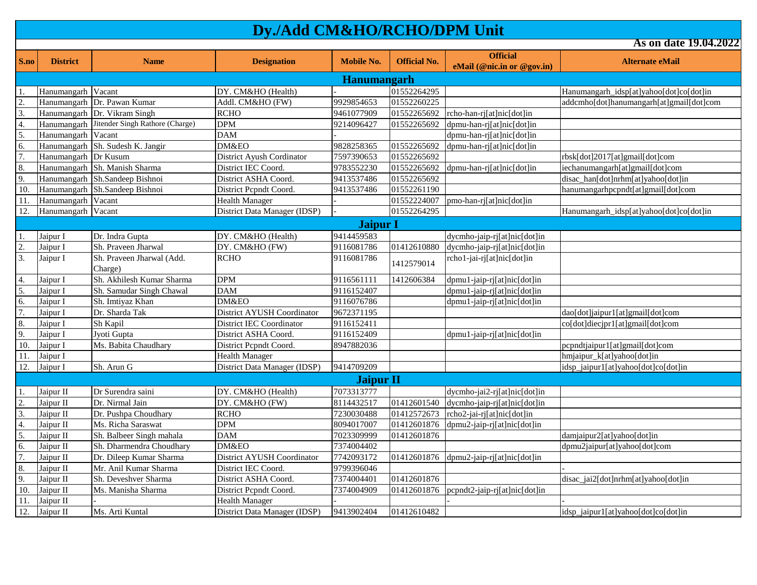**As on date 19.04.2022**

**S.no District Name Designation Mobile No. Official No. Official eMail** (@nic.in or @gov.in) **Alternate eMail** 1. Hanumangarh Vacant DY. CM&HO (Health) - 01552264295 Hanumangarh\_idsp[at]yahoo[dot]co[dot]in 2. Hanumangarh Dr. Pawan Kumar Addl. CM&HO (FW) 9929854653 01552260225 degrees addcmho[dot]hanumangarh[at]gmail[dot]com 3. Hanumangarh Dr. Vikram Singh BCHO 81. ROM 8461077909 01552265692 rcho-han-rj[at]nic[dot]in 4. Hanumangarh Jitender Singh Rathore (Charge) DPM 9214096427 01552265692 dpmu-han-rj[at]nic[dot]in 5. Hanumangarh Vacant DAM - dpmu-han-rj[at]nic[dot]in 6. Hanumangarh Sh. Sudesh K. Jangir DM&EO 9828258365 01552265692 dpmu-han-rj[at]nic[dot]in 7. Hanumangarh Dr Kusum District Ayush Cordinator 7597390653 01552265692 rbsk[dot]2017[at]gmail[dot]com 8. Hanumangarh Sh. Manish Sharma District IEC Coord. 9783552230 01552265692 dpmu-han-rj[at]nic[dot]in iechanumangarh[at]gmail[dot]com 9. Hanumangarh Sh.Sandeep Bishnoi District ASHA Coord. 9413537486 01552265692 10. Hanumangarh Sh.Sandeep Bishnoi District Pcpndt Coord. 9413537486 01552261190 hanumangarhpcpndt[at]gmail[dot]com 11. Hanumangarh Vacant Health Manager 1. 11. Hanumangarh Vacant 1. Health Manager 1. 11. Hanumangarh 1. Health Manager 12. Hanumangarh Vacant District Data Manager (IDSP) - 01552264295 Hanumangarh\_idsp[at]yahoo[dot]co[dot]in 1. Jaipur I Dr. Indra Gupta DY. CM&HO (Health) 9414459583 dycmho-jaip-rj[at]nic[dot]in 2. Jaipur I Sh. Praveen Jharwal DY. CM&HO (FW) 9116081786 01412610880 dycmho-jaip-rj[at]nic[dot]in 3. Jaipur I Sh. Praveen Jharwal (Add. Charge) RCHO 9116081786  $|1412579014$  rcho1-jai-rj[at]nic[dot]in 4. Jaipur I Sh. Akhilesh Kumar Sharma DPM 9116561111 1412606384 dpmu1-jaip-rj[at]nic[dot]in 5. Jaipur I Sh. Samudar Singh Chawal DAM 9116152407 dpmu1-jaip-rj[at]nic[dot]in 6. Jaipur I Sh. Imtiyaz Khan DM&EO 9116076786 dpmu1-jaip-rj[at]nic[dot]in 7. Jaipur I Dr. Sharda Tak District AYUSH Coordinator 9672371195 dao[dot]jaipur1[at]gmail[dot]com 8. Jaipur I Sh Kapil District IEC Coordinator 9116152411 co[dot]diecjpr1[at]gmail[dot]com 9. Jaipur I Jyoti Gupta District ASHA Coord. 9116152409 dpmu1-jaip-rj[at]nic[dot]in 10. Jaipur I Ms. Babita Chaudhary District Pcpndt Coord. 8947882036 pcpndt is proportion proportion proportion 11. Jaipur I hmjaipur Latlyahoo[dot]in [11. Jaipur I hmjaipur Latlyahoo[dot]in htmjaipur Latlyahoo[dot]in [12. Jaipur I Sh. Arun G [12. District Data Manager (IDSP) 9414709209 [12. Jaipur I atlyahoo[dot]c 12. Jaipur I Sh. Arun G District Data Manager (IDSP) 9414709209 | idsp\_jaipur l [at]yahoo[dot]co[dot]in 1. Jaipur II Dr Surendra saini DY. CM&HO (Health) 7073313777 dycmho-jai2-rj[at]nic[dot]in 2. Jaipur II Dr. Nirmal Jain DV. CM&HO (FW) 8114432517 01412601540 dycmho-jaip-rj[at]nic[dot]in 3. Jaipur II Dr. Pushpa Choudhary RCHO 7230030488 01412572673 rcho2-jai-rj[at]nic[dot]in 4. Jaipur II Ms. Richa Saraswat DPM 8094017007 01412601876 dpmu2-jaip-rj[at]nic[dot]in 5. Jaipur II Sh. Balbeer Singh mahala DAM 7023309999 01412601876 damjaipur2[at]yahoo[dot]in 6. Jaipur II Sh. Dharmendra Choudhary DM&EO 7374004402 dpmu2jaipur at lyahoo[dot]com 7. Jaipur II Dr. Dileep Kumar Sharma District AYUSH Coordinator 7742093172 01412601876 dpmu2-jaip-rj[at]nic[dot]in 8. Jaipur II Mr. Anil Kumar Sharma District IEC Coord. 9799396046 9. Jaipur II Sh. Deveshver Sharma District ASHA Coord. 7374004401 01412601876 disac\_jai2[dot]nrhm[at]yahoo[dot]in 10. Jaipur II Ms. Manisha Sharma District Pepndt Coord. 7374004909 01412601876 pepndt2-jaip-rj[at]nic[dot]in 11. Jaipur II - Health Manager - - - 12. Jaipur II Ms. Arti Kuntal District Data Manager (IDSP) 9413902404 01412610482 idsp\_iaipur1[at]yahoo[dot]co[dot]in **Jaipur II Jaipur I Hanumangarh**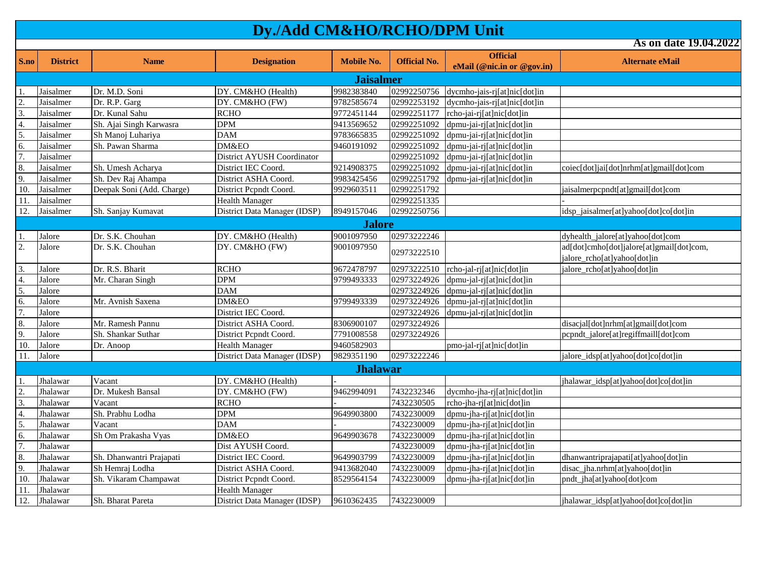| S.no             | <b>District</b>  | <b>Name</b>               | <b>Designation</b>           | <b>Mobile No.</b> | <b>Official No.</b> | <b>Official</b>              | <b>Alternate eMail</b>                                                  |  |  |  |  |
|------------------|------------------|---------------------------|------------------------------|-------------------|---------------------|------------------------------|-------------------------------------------------------------------------|--|--|--|--|
|                  |                  |                           |                              |                   |                     | eMail (@nic.in or @gov.in)   |                                                                         |  |  |  |  |
|                  | <b>Jaisalmer</b> |                           |                              |                   |                     |                              |                                                                         |  |  |  |  |
| -1.              | Jaisalmer        | Dr. M.D. Soni             | DY. CM&HO (Health)           | 9982383840        | 02992250756         | dycmho-jais-rj[at]nic[dot]in |                                                                         |  |  |  |  |
| 2.               | Jaisalmer        | Dr. R.P. Garg             | DY. CM&HO (FW)               | 9782585674        | 02992253192         | dycmho-jais-rj[at]nic[dot]in |                                                                         |  |  |  |  |
| 3.               | Jaisalmer        | Dr. Kunal Sahu            | <b>RCHO</b>                  | 9772451144        | 02992251177         | rcho-jai-rj[at]nic[dot]in    |                                                                         |  |  |  |  |
| $\overline{4}$ . | Jaisalmer        | Sh. Ajai Singh Karwasra   | <b>DPM</b>                   | 9413569652        | 02992251092         | dpmu-jai-rj[at]nic[dot]in    |                                                                         |  |  |  |  |
| 5.               | Jaisalmer        | Sh Manoj Luhariya         | <b>DAM</b>                   | 9783665835        | 02992251092         | dpmu-jai-rj[at]nic[dot]in    |                                                                         |  |  |  |  |
| 6.               | Jaisalmer        | Sh. Pawan Sharma          | DM&EO                        | 9460191092        | 02992251092         | dpmu-jai-rj[at]nic[dot]in    |                                                                         |  |  |  |  |
| 7.               | Jaisalmer        |                           | District AYUSH Coordinator   |                   | 02992251092         | dpmu-jai-rj[at]nic[dot]in    |                                                                         |  |  |  |  |
| 8.               | Jaisalmer        | Sh. Umesh Acharya         | District IEC Coord.          | 9214908375        | 02992251092         | dpmu-jai-rj[at]nic[dot]in    | coiec[dot]jai[dot]nrhm[at]gmail[dot]com                                 |  |  |  |  |
| 9.               | Jaisalmer        | Sh. Dev Raj Ahampa        | District ASHA Coord.         | 9983425456        | 02992251792         | dpmu-jai-rj[at]nic[dot]in    |                                                                         |  |  |  |  |
| 10.              | Jaisalmer        | Deepak Soni (Add. Charge) | District Pepndt Coord.       | 9929603511        | 02992251792         |                              | jaisalmerpcpndt[at]gmail[dot]com                                        |  |  |  |  |
| 11.              | Jaisalmer        |                           | <b>Health Manager</b>        |                   | 02992251335         |                              |                                                                         |  |  |  |  |
| 12.              | Jaisalmer        | Sh. Sanjay Kumavat        | District Data Manager (IDSP) | 8949157046        | 02992250756         |                              | idsp_jaisalmer[at]yahoo[dot]co[dot]in                                   |  |  |  |  |
|                  |                  |                           |                              | <b>Jalore</b>     |                     |                              |                                                                         |  |  |  |  |
| -1.              | Jalore           | Dr. S.K. Chouhan          | DY. CM&HO (Health)           | 9001097950        | 02973222246         |                              | dyhealth_jalore[at]yahoo[dot]com                                        |  |  |  |  |
| 2.               | Jalore           | Dr. S.K. Chouhan          | DY. CM&HO (FW)               | 9001097950        | 02973222510         |                              | ad[dot]cmho[dot]jalore[at]gmail[dot]com,<br>jalore_rcho[at]yahoo[dot]in |  |  |  |  |
| $\overline{3}$ . | Jalore           | Dr. R.S. Bharit           | <b>RCHO</b>                  | 9672478797        | 02973222510         | rcho-jal-rj[at]nic[dot]in    | jalore_rcho[at]yahoo[dot]in                                             |  |  |  |  |
| $\overline{4}$ . | Jalore           | Mr. Charan Singh          | <b>DPM</b>                   | 9799493333        | 02973224926         | dpmu-jal-rj[at]nic[dot]in    |                                                                         |  |  |  |  |
| 5.               | Jalore           |                           | <b>DAM</b>                   |                   | 02973224926         | dpmu-jal-rj[at]nic[dot]in    |                                                                         |  |  |  |  |
| 6.               | Jalore           | Mr. Avnish Saxena         | DM&EO                        | 9799493339        | 02973224926         | dpmu-jal-rj[at]nic[dot]in    |                                                                         |  |  |  |  |
| $\overline{7}$ . | Jalore           |                           | District IEC Coord.          |                   | 02973224926         | dpmu-jal-rj[at]nic[dot]in    |                                                                         |  |  |  |  |
| 8.               | Jalore           | Mr. Ramesh Pannu          | District ASHA Coord.         | 8306900107        | 02973224926         |                              | disacjal[dot]nrhm[at]gmail[dot]com                                      |  |  |  |  |
| 9.               | Jalore           | Sh. Shankar Suthar        | District Pepndt Coord.       | 7791008558        | 02973224926         |                              | pcpndt_jalore[at]regiffmaill[dot]com                                    |  |  |  |  |
| 10.              | Jalore           | Dr. Anoop                 | <b>Health Manager</b>        | 9460582903        |                     | pmo-jal-rj[at]nic[dot]in     |                                                                         |  |  |  |  |
| 11.              | Jalore           |                           | District Data Manager (IDSP) | 9829351190        | 02973222246         |                              | jalore_idsp[at]yahoo[dot]co[dot]in                                      |  |  |  |  |
|                  |                  |                           |                              | <b>Jhalawar</b>   |                     |                              |                                                                         |  |  |  |  |
|                  | Jhalawar         | Vacant                    | DY. CM&HO (Health)           |                   |                     |                              | jhalawar_idsp[at]yahoo[dot]co[dot]in                                    |  |  |  |  |
| 2.               | Jhalawar         | Dr. Mukesh Bansal         | DY. CM&HO (FW)               | 9462994091        | 7432232346          | dycmho-jha-rj[at]nic[dot]in  |                                                                         |  |  |  |  |
| 3.               | Jhalawar         | Vacant                    | <b>RCHO</b>                  |                   | 7432230505          | rcho-jha-rj[at]nic[dot]in    |                                                                         |  |  |  |  |
| 4.               | Jhalawar         | Sh. Prabhu Lodha          | <b>DPM</b>                   | 9649903800        | 7432230009          | dpmu-jha-rj[at]nic[dot]in    |                                                                         |  |  |  |  |
| 5.               | Jhalawar         | Vacant                    | <b>DAM</b>                   |                   | 7432230009          | dpmu-jha-rj[at]nic[dot]in    |                                                                         |  |  |  |  |
| 6.               | Jhalawar         | Sh Om Prakasha Vyas       | DM&EO                        | 9649903678        | 7432230009          | dpmu-jha-rj[at]nic[dot]in    |                                                                         |  |  |  |  |
| $\overline{7}$ . | Jhalawar         |                           | Dist AYUSH Coord.            |                   | 7432230009          | dpmu-jha-rj[at]nic[dot]in    |                                                                         |  |  |  |  |
| 8.               | Jhalawar         | Sh. Dhanwantri Prajapati  | District IEC Coord.          | 9649903799        | 7432230009          | dpmu-jha-rj[at]nic[dot]in    | dhanwantriprajapati[at]yahoo[dot]in                                     |  |  |  |  |
| 9.               | Jhalawar         | Sh Hemraj Lodha           | District ASHA Coord.         | 9413682040        | 7432230009          | dpmu-jha-rj[at]nic[dot]in    | disac_jha.nrhm[at]yahoo[dot]in                                          |  |  |  |  |
| 10.              | Jhalawar         | Sh. Vikaram Champawat     | District Pepndt Coord.       | 8529564154        | 7432230009          | dpmu-jha-rj[at]nic[dot]in    | pndt_jha[at]yahoo[dot]com                                               |  |  |  |  |
| 11.              | Jhalawar         |                           | <b>Health Manager</b>        |                   |                     |                              |                                                                         |  |  |  |  |
| 12.              | Jhalawar         | <b>Sh. Bharat Pareta</b>  | District Data Manager (IDSP) | 9610362435        | 7432230009          |                              | ihalawar idsp[at]yahoo[dot]co[dot]in                                    |  |  |  |  |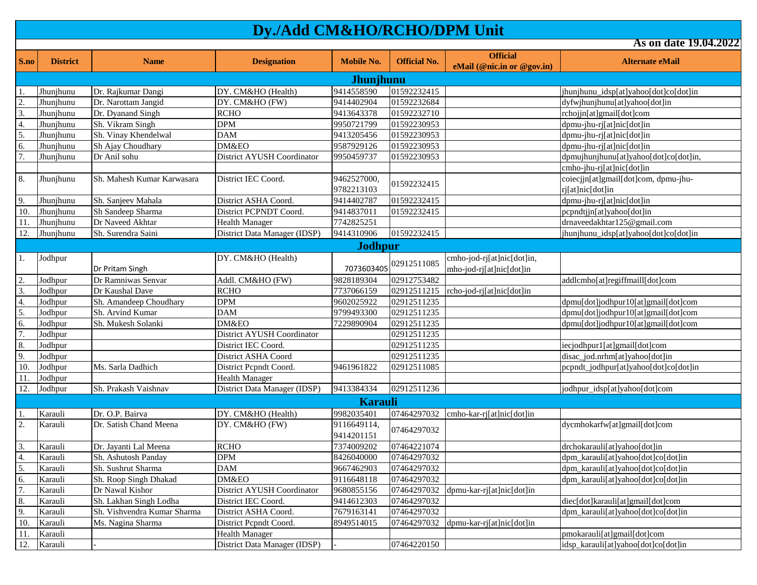**S.no District Name Designation Mobile No. Official No. Official eMail** (@nic.in or @gov.in) **Alternate eMail As on date 19.04.2022** 1. Jhunjhunu Dr. Rajkumar Dangi DY. CM&HO (Health) 9414558590 01592232415 jhunjhunu idsp[at]yahoo[dot]co[dot]in 2. Jhunjhunu Dr. Narottam Jangid DY. CM&HO (FW) 9414402904 01592232684 dyfwjhunjhunu[at]yahoo[dot]in 3. Jhunjhunu Dr. Dyanand Singh RCHO 9413643378 01592232710 rchojjn[at]gmail[dot]com 4. Jhunjhunu Sh. Vikram Singh DPM 9950721799 01592230953 dpmu-jhu-rj[at]nic[dot]in 5. Jhunjhunu Sh. Vinay Khendelwal DAM 9413205456 01592230953 dpmu-jhu-rj[at]nic[dot]in 6. Jhunjhunu Sh Ajay Choudhary DM&EO 9587929126 01592230953 dpmu-jhu-rj[at]nic[dot]in 7. Jhunjhunu Dr Anil sohu District AYUSH Coordinator 9950459737 01592230953 dpmujhunjhunu[at]yahoo[dot]co[dot]in, cmho-jhu-rj[at]nic[dot]in 8. Jhunjhunu Sh. Mahesh Kumar Karwasara District IEC Coord. 9462527000, 9462527000,  $\begin{bmatrix} 01592232415 \end{bmatrix}$  coiecjjn[at]gmail[dot]com, dpmu-jhu-<br>9782213103 rj[at]nic[dot]in 9. Jhunjhunu Sh. Sanjeev Mahala District ASHA Coord. 9414402787 01592232415 dpmu-jhu-rj[at]nic[dot]in 10. Jhunjhunu Sh Sandeep Sharma District PCPNDT Coord. 9414837011 01592232415 11. Jhunjhunu Dr Naveed Akhtar Health Manager 7742825251 degree 1986 and the [drnaveedakhtar125@gmail.com](mailto:drnaveedakhtar125@gmail.com) 12. Jhunjhunu Sh. Surendra Saini District Data Manager (IDSP) 9414310906 01592232415 jhunjhunu\_idsp[at]yahoo[dot]co[dot]in 1. Jodhpur Dr Pritam Singh DY. CM&HO (Health)  $7073603405\begin{bmatrix} 02912511085 \\ mho-jod-rj[at] \end{bmatrix}$ mho-jod-rj $[at]$ nic $[dot]$ in 2. Jodhpur Dr Ramniwas Senvar Addl. CM&HO (FW) 9828189304 02912753482 addlcmho[at]regiffmaill[dot]com 3. Jodhpur Dr Kaushal Dave RCHO 7737066159 02912511215 rcho-jod-rj[at]nic[dot]in 4. Jodhpur Sh. Amandeep Choudhary DPM 9602025922 02912511235 dpmu[dot]jodhpur10[at]gmail[dot]com 5. Jodhpur Sh. Arvind Kumar DAM DAM 9799493300 02912511235 dpmu[dot]jodhpur10[at]gmail[dot]com 6. Jodhpur Sh. Mukesh Solanki DM&EO 7229890904 02912511235 dpmu[dot]jodhpur10[at]gmail[dot]com 7. Jodhpur | Coordinator | District AYUSH Coordinator | 02912511235 8. Jodhpur Iatlands and District IEC Coord. 1999/12511235 iecjodhpur1[at]gmail[dot]com 9. Jodhpur I and District ASHA Coord 1 02912511235 disac\_jod.nrhm[at]yahoo[dot]in 10. Jodhpur Ms. Sarla Dadhich District Pcpndt Coord. 9461961822 02912511085 pcpndt\_jodhpur[at]yahoo[dot]co[dot]in 11. Jodhpur Health Manager 12. Jodhpur Sh. Prakash Vaishnav District Data Manager (IDSP) 9413384334 02912511236 jodhpur\_idsp[at]yahoo[dot]com 1. Karauli Dr. O.P. Bairva DY. CM&HO (Health) 9982035401 07464297032 cmho-kar-rj[at]nic[dot]in 2. Karauli Dr. Satish Chand Meena DY. CM&HO (FW) 9116649114, 9116649114, 07464297032 dycmhokarfw[at]gmail[dot]com<br>9414201151 07464297032 3. Karauli Dr. Jayanti Lal Meena RCHO 7374009202 07464221074 drchokarauli[at]yahoo[dot]in 4. Karauli Sh. Ashutosh Panday DPM 8426040000 07464297032 dpm karauli[at]yahoo[dot]co[dot]in 5. Karauli Sh. Sushrut Sharma DAM 9667462903 07464297032 dpm karauli[at]yahoo[dot]co[dot]in 6. Karauli Sh. Roop Singh Dhakad DM&EO 9116648118 07464297032 dpm\_karauli[at]yahoo[dot]co[dot]in 7. Karauli Dr Nawal Kishor District AYUSH Coordinator 9680855156 07464297032 dpmu-kar-rj[at]nic[dot]in 8. Karauli Sh. Lakhan Singh Lodha District IEC Coord. 9414612303 07464297032 diec[dot]karauli[at]gmail[dot]com 9. Karauli Sh. Vishvendra Kumar Sharma District ASHA Coord. 7679163141 07464297032 dpm\_karauli[at]yahoo[dot]co[dot]in 10. Karauli Ms. Nagina Sharma District Pepndt Coord. 8949514015 07464297032 dpmu-kar-rj[at]nic[dot]in 11. Karauli 1. Karauli 1. Karauli 1. Karauli 1. Karauli 1. Karauli 1. Putus 1. Ali 2010 | pmokarauli[at]gmail[dot]com 12. Karauli - Instrict Data Manager (IDSP) - 07464220150 idsp\_karauli[at]yahoo[dot]co[dot]in **Karauli Jodhpur Jhunjhunu**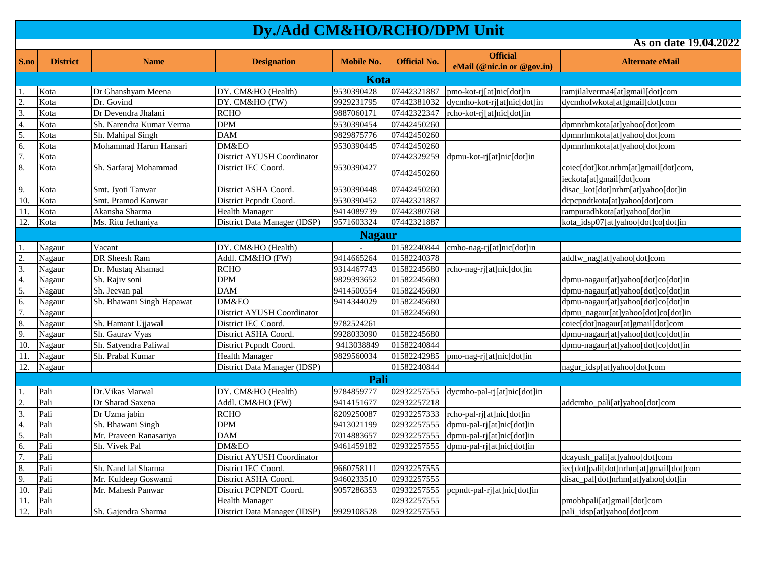**S.no District Name Designation Mobile No. Official No. Official eMail** (@nic.in or @gov.in) **Alternate eMail As on date 19.04.2022** 1. Kota Dr Ghanshyam Meena DY. CM&HO (Health) 9530390428 07442321887 pmo-kot-rj[at]nic[dot]in ramjilalverma4[at]gmail[dot]com 2. Kota Dr. Govind DY. CM&HO (FW) 9929231795 07442381032 dycmho-kot-rj[at]nic[dot]in dycmhofwkota[at]gmail[dot]com 3. Kota Dr Devendra Jhalani RCHO 9887060171 07442322347 rcho-kot-rj[at]nic[dot]in 4. Kota Sh. Narendra Kumar Verma DPM 9530390454 07442450260 5. Kota Sh. Mahipal Singh DAM 9829875776 07442450260 dpmnrhmkota[at]yahoo[dot]com 6. Kota Mohammad Harun Hansari DM&EO 9530390445 07442450260 dpmnrhmkota[at]yahoo[dot]com 7. Kota **District AYUSH Coordinator** 1 07442329259 dpmu-kot-rj[at]nic[dot]in 8. Kota Sh. Sarfaraj Mohammad District IEC Coord. 9530390427 07442450260 coiec[dot]kot.nrhm[at]gmail[dot]com, ieckota[at]gmail[dot]com 9. Kota Smt. Jyoti Tanwar District ASHA Coord. 9530390448 07442450260 disac\_kot[dot]nrhm[at]yahoo[dot]in 10. Kota Smt. Pramod Kanwar District Pcpndt Coord. 9530390452 07442321887 dcpcpndtkota[at]yahoo[dot]com 11. Kota Akansha Sharma Health Manager 9414089739 07442380768 rampuradhkota[at]yahoo[dot]in 12. Kota Ms. Ritu Jethaniya District Data Manager (IDSP) 9571603324 07442321887 kota\_idsp07[at]yahoo[dot]co[dot]in 1. Nagaur Vacant DY. CM&HO (Health) - 01582240844 cmho-nag-rj[at]nic[dot]in 2. Nagaur DR Sheesh Ram Addl. CM&HO (FW) 9414665264 01582240378 addfw nag[at]yahoo[dot]com 3. Nagaur Dr. Mustaq Ahamad RCHO 9314467743 01582245680 rcho-nag-rj[at]nic[dot]in 4. Nagaur Sh. Rajiv soni DPM 9829393652 01582245680 dpmu-nagaur[at]yahoo[dot]co[dot]in 5. Nagaur Sh. Jeevan pal DAM 9414500554 01582245680 dpmu-nagaur[at]yahoo[dot]co[dot]in 6. Nagaur Sh. Bhawani Singh Hapawat DM&EO 9414344029 01582245680 dpmu-nagaur[at]yahoo[dot]co[dot]in 7. Nagaur Nagaur District AYUSH Coordinator 1 01582245680 dpmu\_nagaur[at]yahoo[dot]co[dot]in 8. Nagaur Sh. Hamant Ujjawal District IEC Coord. 9782524261 coiec[dot]nagaur[at]gmail[dot]com 9. Nagaur Sh. Gaurav Vyas District ASHA Coord. 9928033090 01582245680 dpmu-nagaur[at]yahoo[dot]co[dot]in 10. Nagaur Sh. Satyendra Paliwal District Pcpndt Coord. 9413038849 01582240844 dpmu-nagaur[at]yahoo[dot]co[dot]in 11. Nagaur Sh. Prabal Kumar Health Manager 9829560034 01582242985 pmo-nag-rj[at]nic[dot]in 12. Nagaur Nagaur District Data Manager (IDSP) 01582240844 nagur\_idsp[at]yahoo[dot]com 1. Pali Dr. Vikas Marwal DY. CM&HO (Health) 9784859777 02932257555 dycmho-pal-rj[at]nic[dot]in 2. Pali Dr Sharad Saxena | Addl. CM&HO (FW) 9414151677 02932257218 | addcmho pali[at]yahoo[dot]com 3. Pali Dr Uzma jabin RCHO 8209250087 02932257333 rcho-pal-rj[at]nic[dot]in 4. Pali Sh. Bhawani Singh DPM 9413021199 02932257555 dpmu-pal-rj[at]nic[dot]in 5. Pali Mr. Praveen Ranasariya DAM 7014883657 02932257555 dpmu-pal-rj[at]nic[dot]in 6. Pali Sh. Vivek Pal DM&EO 9461459182 02932257555 dpmu-pal-rj[at]nic[dot]in 7. Pali Puli District AYUSH Coordinator dealership and the coordinator dealership dcayush palifat]yahoo[dot]com 8. Pali Sh. Nand lal Sharma District IEC Coord. 9660758111 02932257555 iec[dot]pali[dot]nrhm[at]gmail[dot]com 9. Pali Mr. Kuldeep Goswami District ASHA Coord. 9460233510 02932257555 disac\_pal[dot]nrhm[at]yahoo[dot]in 10. Pali Mr. Mahesh Panwar District PCPNDT Coord. 9057286353 02932257555 pcpndt-pal-rj[at]nic[dot]in 11. Pali Health Manager 02932257555 pmobhpali[at]gmail[dot]com 12. Pali Sh. Gajendra Sharma District Data Manager (IDSP) 9929108528 02932257555 pali\_idsp[at]yahoo[dot]com **Pali Nagaur Kota**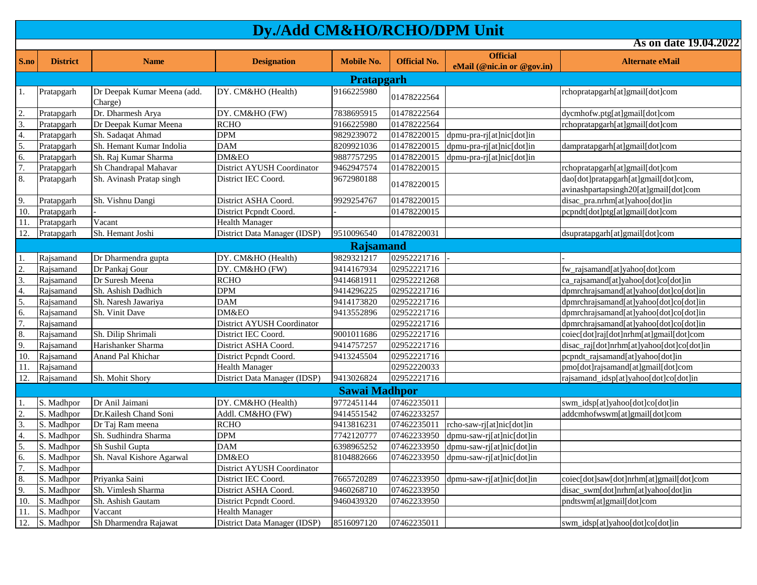|                   |                   |                                        |                              | As on date 19.04.2022 |                     |                            |                                                                               |  |  |  |
|-------------------|-------------------|----------------------------------------|------------------------------|-----------------------|---------------------|----------------------------|-------------------------------------------------------------------------------|--|--|--|
| S.no              | <b>District</b>   | <b>Name</b>                            | <b>Designation</b>           | <b>Mobile No.</b>     | <b>Official No.</b> | <b>Official</b>            | <b>Alternate eMail</b>                                                        |  |  |  |
|                   |                   |                                        |                              |                       |                     | eMail (@nic.in or @gov.in) |                                                                               |  |  |  |
|                   | <b>Pratapgarh</b> |                                        |                              |                       |                     |                            |                                                                               |  |  |  |
| 1.                | Pratapgarh        | Dr Deepak Kumar Meena (add.<br>Charge) | DY. CM&HO (Health)           | 9166225980            | 01478222564         |                            | rchopratapgarh[at]gmail[dot]com                                               |  |  |  |
| 2.                | Pratapgarh        | Dr. Dharmesh Arya                      | DY. CM&HO (FW)               | 7838695915            | 01478222564         |                            | dycmhofw.ptg[at]gmail[dot]com                                                 |  |  |  |
| 3.                | Pratapgarh        | Dr Deepak Kumar Meena                  | <b>RCHO</b>                  | 9166225980            | 01478222564         |                            | rchopratapgarh[at]gmail[dot]com                                               |  |  |  |
| 4.                | Pratapgarh        | Sh. Sadaqat Ahmad                      | DPM                          | 9829239072            | 01478220015         | dpmu-pra-rj[at]nic[dot]in  |                                                                               |  |  |  |
| 5.                | Pratapgarh        | Sh. Hemant Kumar Indolia               | <b>DAM</b>                   | 8209921036            | 01478220015         | dpmu-pra-rj[at]nic[dot]in  | dampratapgarh[at]gmail[dot]com                                                |  |  |  |
| 6.                | Pratapgarh        | Sh. Raj Kumar Sharma                   | DM&EO                        | 9887757295            | 01478220015         | dpmu-pra-rj[at]nic[dot]in  |                                                                               |  |  |  |
| 7.                | Pratapgarh        | Sh Chandrapal Mahavar                  | District AYUSH Coordinator   | 9462947574            | 01478220015         |                            | rchopratapgarh[at]gmail[dot]com                                               |  |  |  |
| 8.                | Pratapgarh        | Sh. Avinash Pratap singh               | District IEC Coord.          | 9672980188            | 01478220015         |                            | dao[dot]pratapgarh[at]gmail[dot]com,<br>avinashpartapsingh20[at]gmail[dot]com |  |  |  |
| 9.                | Pratapgarh        | Sh. Vishnu Dangi                       | District ASHA Coord.         | 9929254767            | 01478220015         |                            | disac_pra.nrhm[at]yahoo[dot]in                                                |  |  |  |
| $\overline{10}$ . | Pratapgarh        |                                        | District Pepndt Coord.       |                       | 01478220015         |                            | pcpndt[dot]ptg[at]gmail[dot]com                                               |  |  |  |
| 11.               | Pratapgarh        | Vacant                                 | <b>Health Manager</b>        |                       |                     |                            |                                                                               |  |  |  |
| 12.               | Pratapgarh        | Sh. Hemant Joshi                       | District Data Manager (IDSP) | 9510096540            | 01478220031         |                            | dsupratapgarh[at]gmail[dot]com                                                |  |  |  |
|                   |                   |                                        |                              | Rajsamand             |                     |                            |                                                                               |  |  |  |
| 1.                | Rajsamand         | Dr Dharmendra gupta                    | DY. CM&HO (Health)           | 9829321217            | 02952221716         |                            |                                                                               |  |  |  |
| 2.                | Rajsamand         | Dr Pankaj Gour                         | DY. CM&HO (FW)               | 9414167934            | 02952221716         |                            | fw_rajsamand[at]yahoo[dot]com                                                 |  |  |  |
| 3.                | Rajsamand         | Dr Suresh Meena                        | <b>RCHO</b>                  | 9414681911            | 02952221268         |                            | ca_rajsamand[at]yahoo[dot]co[dot]in                                           |  |  |  |
| 4.                | Rajsamand         | Sh. Ashish Dadhich                     | <b>DPM</b>                   | 9414296225            | 02952221716         |                            | dpmrchrajsamand[at]yahoo[dot]co[dot]in                                        |  |  |  |
| 5.                | Rajsamand         | Sh. Naresh Jawariya                    | DAM                          | 9414173820            | 02952221716         |                            | dpmrchrajsamand[at]yahoo[dot]co[dot]in                                        |  |  |  |
| 6.                | Rajsamand         | Sh. Vinit Dave                         | DM&EO                        | 9413552896            | 02952221716         |                            | dpmrchrajsamand[at]yahoo[dot]co[dot]in                                        |  |  |  |
| 7.                | Rajsamand         |                                        | District AYUSH Coordinator   |                       | 02952221716         |                            | dpmrchrajsamand[at]yahoo[dot]co[dot]in                                        |  |  |  |
| 8.                | Rajsamand         | Sh. Dilip Shrimali                     | District IEC Coord.          | 9001011686            | 02952221716         |                            | coiec[dot]raj[dot]nrhm[at]gmail[dot]com                                       |  |  |  |
| 9.                | Rajsamand         | Harishanker Sharma                     | District ASHA Coord.         | 9414757257            | 02952221716         |                            | disac_raj[dot]nrhm[at]yahoo[dot]co[dot]in                                     |  |  |  |
| 10.               | Rajsamand         | Anand Pal Khichar                      | District Pepndt Coord.       | 9413245504            | 02952221716         |                            | pcpndt_rajsamand[at]yahoo[dot]in                                              |  |  |  |
| 11.               | Rajsamand         |                                        | <b>Health Manager</b>        |                       | 02952220033         |                            | pmo[dot]rajsamand[at]gmail[dot]com                                            |  |  |  |
| 12.               | Rajsamand         | Sh. Mohit Shory                        | District Data Manager (IDSP) | 9413026824            | 02952221716         |                            | rajsamand_idsp[at]yahoo[dot]co[dot]in                                         |  |  |  |
|                   |                   |                                        |                              | <b>Sawai Madhpor</b>  |                     |                            |                                                                               |  |  |  |
| 1.                | S. Madhpor        | Dr Anil Jaimani                        | DY. CM&HO (Health)           | 9772451144            | 07462235011         |                            | swm_idsp[at]yahoo[dot]co[dot]in                                               |  |  |  |
| $\overline{2}$ .  | S. Madhpor        | Dr.Kailesh Chand Soni                  | Addl. CM&HO (FW)             | 9414551542            | 07462233257         |                            | addcmhofwswm[at]gmail[dot]com                                                 |  |  |  |
| 3.                | S. Madhpor        | Dr Taj Ram meena                       | <b>RCHO</b>                  | 9413816231            | 07462235011         | rcho-saw-rj[at]nic[dot]in  |                                                                               |  |  |  |
| 4.                | S. Madhpor        | Sh. Sudhindra Sharma                   | <b>DPM</b>                   | 7742120777            | 07462233950         | dpmu-saw-rj[at]nic[dot]in  |                                                                               |  |  |  |
| 5.                | S. Madhpor        | Sh Sushil Gupta                        | <b>DAM</b>                   | 6398965252            | 07462233950         | dpmu-saw-rj[at]nic[dot]in  |                                                                               |  |  |  |
| 6.                | S. Madhpor        | Sh. Naval Kishore Agarwal              | DM&EO                        | 8104882666            | 07462233950         | dpmu-saw-rj[at]nic[dot]in  |                                                                               |  |  |  |
| 7.                | S. Madhpor        |                                        | District AYUSH Coordinator   |                       |                     |                            |                                                                               |  |  |  |
| 8.                | S. Madhpor        | Priyanka Saini                         | District IEC Coord.          | 7665720289            | 07462233950         | dpmu-saw-rj[at]nic[dot]in  | coiec[dot]saw[dot]nrhm[at]gmail[dot]com                                       |  |  |  |
| 9.                | S. Madhpor        | Sh. Vimlesh Sharma                     | District ASHA Coord.         | 9460268710            | 07462233950         |                            | disac_swm[dot]nrhm[at]yahoo[dot]in                                            |  |  |  |
| 10.               | S. Madhpor        | Sh. Ashish Gautam                      | District Pepndt Coord.       | 9460439320            | 07462233950         |                            | pndtswm[at]gmail[dot]com                                                      |  |  |  |
| 11.               | S. Madhpor        | Vaccant                                | <b>Health Manager</b>        |                       |                     |                            |                                                                               |  |  |  |
| 12.               | S. Madhpor        | Sh Dharmendra Rajawat                  | District Data Manager (IDSP) | 8516097120            | 07462235011         |                            | swm_idsp[at]yahoo[dot]co[dot]in                                               |  |  |  |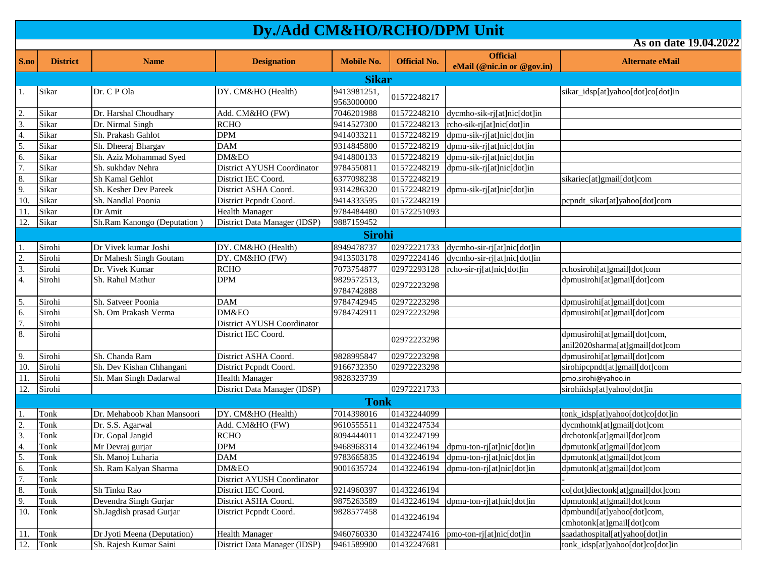| S.no | <b>District</b> | <b>Name</b>                 | <b>Designation</b>           | <b>Mobile No.</b>         | <b>Official No.</b> | <b>Official</b>                                                | <b>Alternate eMail</b>                                          |  |  |  |
|------|-----------------|-----------------------------|------------------------------|---------------------------|---------------------|----------------------------------------------------------------|-----------------------------------------------------------------|--|--|--|
|      |                 |                             |                              |                           |                     | eMail (@nic.in or @gov.in)                                     |                                                                 |  |  |  |
|      | <b>Sikar</b>    |                             |                              |                           |                     |                                                                |                                                                 |  |  |  |
| 1.   | Sikar           | Dr. C P Ola                 | DY. CM&HO (Health)           | 9413981251,<br>9563000000 | 01572248217         |                                                                | sikar_idsp[at]yahoo[dot]co[dot]in                               |  |  |  |
| 2.   | Sikar           | Dr. Harshal Choudhary       | Add. CM&HO (FW)              | 7046201988                | 01572248210         | dycmho-sik-rj[at]nic[dot]in                                    |                                                                 |  |  |  |
| 3.   | Sikar           | Dr. Nirmal Singh            | <b>RCHO</b>                  | 9414527300                | 01572248213         | rcho-sik-rj[at]nic[dot]in                                      |                                                                 |  |  |  |
| 4.   | Sikar           | Sh. Prakash Gahlot          | <b>DPM</b>                   | 9414033211                | 01572248219         | dpmu-sik-rj[at]nic[dot]in                                      |                                                                 |  |  |  |
| 5.   | Sikar           | Sh. Dheeraj Bhargav         | <b>DAM</b>                   | 9314845800                | 01572248219         | dpmu-sik-rj[at]nic[dot]in                                      |                                                                 |  |  |  |
| 6.   | Sikar           | Sh. Aziz Mohammad Syed      | DM&EO                        | 9414800133                | 01572248219         | dpmu-sik-rj[at]nic[dot]in                                      |                                                                 |  |  |  |
| 7.   | Sikar           | Sh. sukhdav Nehra           | District AYUSH Coordinator   | 9784550811                | 01572248219         | dpmu-sik-rj[at]nic[dot]in                                      |                                                                 |  |  |  |
| 8.   | Sikar           | Sh Kamal Gehlot             | District IEC Coord.          | 6377098238                | 01572248219         |                                                                | sikariec[at]gmail[dot]com                                       |  |  |  |
| 9.   | Sikar           | Sh. Kesher Dev Pareek       | District ASHA Coord.         | 9314286320                | 01572248219         | dpmu-sik-rj[at]nic[dot]in                                      |                                                                 |  |  |  |
| 10   | Sikar           | Sh. Nandlal Poonia          | District Pepndt Coord.       | 9414333595                | 01572248219         |                                                                | pcpndt_sikar[at]yahoo[dot]com                                   |  |  |  |
| 11.  | Sikar           | Dr Amit                     | <b>Health Manager</b>        | 9784484480                | 01572251093         |                                                                |                                                                 |  |  |  |
| 12.  | Sikar           | Sh.Ram Kanongo (Deputation) | District Data Manager (IDSP) | 9887159452                |                     |                                                                |                                                                 |  |  |  |
|      |                 |                             |                              | <b>Sirohi</b>             |                     |                                                                |                                                                 |  |  |  |
| 1.   | Sirohi          | Dr Vivek kumar Joshi        | DY. CM&HO (Health)           | 8949478737                | 02972221733         | $\frac{1}{2}$ dycmho-sir-rifat $\frac{1}{2}$ nic $\frac{1}{2}$ |                                                                 |  |  |  |
| 2.   | Sirohi          | Dr Mahesh Singh Goutam      | DY. CM&HO (FW)               | 9413503178                | 02972224146         | dycmho-sir-rj[at]nic[dot]in                                    |                                                                 |  |  |  |
| 3.   | Sirohi          | Dr. Vivek Kumar             | <b>RCHO</b>                  | 7073754877                | 02972293128         | rcho-sir-rj[at]nic[dot]in                                      | rchosirohi[at]gmail[dot]com                                     |  |  |  |
| 4.   | Sirohi          | Sh. Rahul Mathur            | <b>DPM</b>                   | 9829572513.<br>9784742888 | 02972223298         |                                                                | dpmusirohi[at]gmail[dot]com                                     |  |  |  |
| 5.   | Sirohi          | Sh. Satveer Poonia          | <b>DAM</b>                   | 9784742945                | 02972223298         |                                                                | dpmusirohi[at]gmail[dot]com                                     |  |  |  |
| 6.   | Sirohi          | Sh. Om Prakash Verma        | DM&EO                        | 9784742911                | 02972223298         |                                                                | dpmusirohi[at]gmail[dot]com                                     |  |  |  |
| 7.   | Sirohi          |                             | District AYUSH Coordinator   |                           |                     |                                                                |                                                                 |  |  |  |
| 8.   | Sirohi          |                             | District IEC Coord.          |                           | 02972223298         |                                                                | dpmusirohi[at]gmail[dot]com,<br>anil2020sharma[at]gmail[dot]com |  |  |  |
| 9.   | Sirohi          | Sh. Chanda Ram              | District ASHA Coord.         | 9828995847                | 02972223298         |                                                                | dpmusirohi[at]gmail[dot]com                                     |  |  |  |
| 10.  | Sirohi          | Sh. Dev Kishan Chhangani    | District Pepndt Coord.       | 9166732350                | 02972223298         |                                                                | sirohipcpndt[at]gmail[dot]com                                   |  |  |  |
| 11   | Sirohi          | Sh. Man Singh Dadarwal      | <b>Health Manager</b>        | 9828323739                |                     |                                                                | pmo.sirohi@yahoo.in                                             |  |  |  |
| 12.  | Sirohi          |                             | District Data Manager (IDSP) |                           | 02972221733         |                                                                | sirohiidsp[at]yahoo[dot]in                                      |  |  |  |
|      |                 |                             |                              | <b>Tonk</b>               |                     |                                                                |                                                                 |  |  |  |
| 1    | Tonk            | Dr. Mehaboob Khan Mansoori  | DY. CM&HO (Health)           | 7014398016                | 01432244099         |                                                                | tonk_idsp[at]yahoo[dot]co[dot]in                                |  |  |  |
| 2.   | Tonk            | Dr. S.S. Agarwal            | Add. CM&HO (FW)              | 9610555511                | 01432247534         |                                                                | dycmhotnk[at]gmail[dot]com                                      |  |  |  |
| 3.   | Tonk            | Dr. Gopal Jangid            | <b>RCHO</b>                  | 8094444011                | 01432247199         |                                                                | drchotonk[at]gmail[dot]com                                      |  |  |  |
| 4.   | Tonk            | Mr Devraj gurjar            | <b>DPM</b>                   | 9468968314                | 01432246194         | dpmu-ton-rj[at]nic[dot]in                                      | dpmutonk[at]gmail[dot]com                                       |  |  |  |
| 5.   | Tonk            | Sh. Manoj Luharia           | <b>DAM</b>                   | 9783665835                | 01432246194         | dpmu-ton-rj[at]nic[dot]in                                      | dpmutonk[at]gmail[dot]com                                       |  |  |  |
| 6.   | Tonk            | Sh. Ram Kalyan Sharma       | DM&EO                        | 9001635724                | 01432246194         | dpmu-ton-ri[at]nic[dot]in                                      | dpmutonk[at]gmail[dot]com                                       |  |  |  |
| 7.   | Tonk            |                             | District AYUSH Coordinator   |                           |                     |                                                                |                                                                 |  |  |  |
| 8.   | Tonk            | Sh Tinku Rao                | District IEC Coord.          | 9214960397                | 01432246194         |                                                                | co[dot]diectonk[at]gmail[dot]com                                |  |  |  |
| 9.   | Tonk            | Devendra Singh Gurjar       | District ASHA Coord.         | 9875263589                | 01432246194         | dpmu-ton-rj[at]nic[dot]in                                      | dpmutonk[at]gmail[dot]com                                       |  |  |  |
| 10.  | Tonk            | Sh.Jagdish prasad Gurjar    | District Pepndt Coord.       | 9828577458                | 01432246194         |                                                                | dpmbundi[at]yahoo[dot]com,<br>cmhotonk[at]gmail[dot]com         |  |  |  |
| 11.  | Tonk            | Dr Jyoti Meena (Deputation) | <b>Health Manager</b>        | 9460760330                | 01432247416         | pmo-ton-ri[at]nic[dot]in                                       | saadathospital[at]yahoo[dot]in                                  |  |  |  |
| 12.  | Tonk            | Sh. Rajesh Kumar Saini      | District Data Manager (IDSP) | 9461589900                | 01432247681         |                                                                | tonk_idsp[at]yahoo[dot]co[dot]in                                |  |  |  |